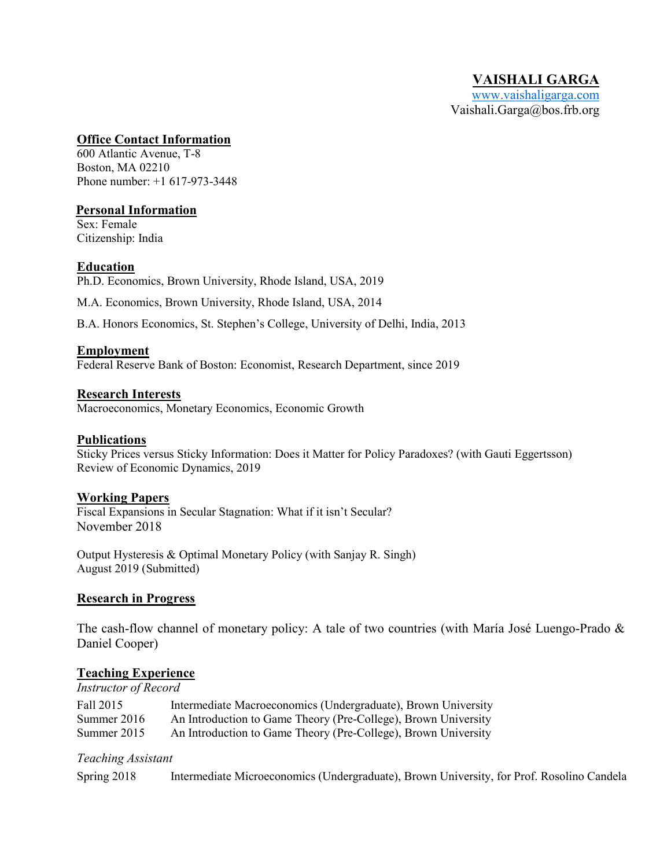#### **Office Contact Information**

600 Atlantic Avenue, T-8 Boston, MA 02210 Phone number: +1 617-973-3448

## **Personal Information**

Sex: Female Citizenship: India

## **Education**

Ph.D. Economics, Brown University, Rhode Island, USA, 2019

M.A. Economics, Brown University, Rhode Island, USA, 2014

B.A. Honors Economics, St. Stephen's College, University of Delhi, India, 2013

#### **Employment**

Federal Reserve Bank of Boston: Economist, Research Department, since 2019

## **Research Interests**

Macroeconomics, Monetary Economics, Economic Growth

#### **Publications**

Sticky Prices versus Sticky Information: Does it Matter for Policy Paradoxes? (with Gauti Eggertsson) Review of Economic Dynamics, 2019

#### **Working Papers**

Fiscal Expansions in Secular Stagnation: What if it isn't Secular? November 2018

Output Hysteresis & Optimal Monetary Policy (with Sanjay R. Singh) August 2019 (Submitted)

#### **Research in Progress**

The cash-flow channel of monetary policy: A tale of two countries (with María José Luengo-Prado & Daniel Cooper)

#### **Teaching Experience**

*Instructor of Record*

| Fall 2015     | Intermediate Macroeconomics (Undergraduate), Brown University  |
|---------------|----------------------------------------------------------------|
| Summer $2016$ | An Introduction to Game Theory (Pre-College), Brown University |
| Summer $2015$ | An Introduction to Game Theory (Pre-College), Brown University |

#### *Teaching Assistant*

Spring 2018 Intermediate Microeconomics (Undergraduate), Brown University, for Prof. Rosolino Candela